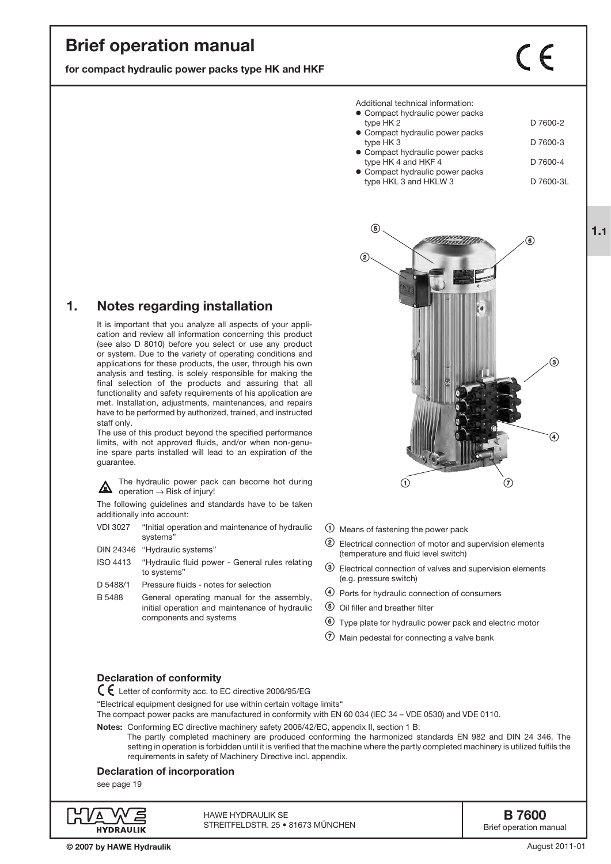# Brief operation manual

for compact hydraulic power packs type HK and HKF

Additional technical information:

- $\bullet$  Compact hydraulic power packs type HK 2 D 7600-2 • Compact hydraulic power packs type HK 3 D 7600-3 o Compact hydraulic power packs type  $HK 4$  and  $HKF 4$  D 7600-4 • Compact hydraulic power packs
	- type HKL 3 and HKLW 3 D 7600-3L





### 1. Notes regarding installation

It is important that you analyze all aspects of your application and review all information concerning this product (see also D 8010) before you select or use any product or system. Due to the variety of operating conditions and applications for these products, the user, through his own analysis and testing, is solely responsible for making the final selection of the products and assuring that all functionality and safety requirements of his application are met. Installation, adjustments, maintenances, and repairs have to be performed by authorized, trained, and instructed staff only.

The use of this product beyond the specified performance limits, with not approved fluids, and/or when non-genuine spare parts installed will lead to an expiration of the guarantee.

The hydraulic power pack can become hot during  $\Delta$  operation  $\rightarrow$  Risk of injury!

The following guidelines and standards have to be taken additionally into account:

- VDI 3027 "Initial operation and maintenance of hydraulic systems"
- DIN 24346 "Hydraulic systems"
- ISO 4413 "Hydraulic fluid power General rules relating to systems"
- D 5488/1 Pressure fluids notes for selection
- B 5488 General operating manual for the assembly, initial operation and maintenance of hydraulic components and systems
- $\Omega$  Means of fastening the power pack
- 2 Electrical connection of motor and supervision elements (temperature and fluid level switch)
- <sup>3</sup> Electrical connection of valves and supervision elements (e.g. pressure switch)
- > Ports for hydraulic connection of consumers
- ? Oil filler and breather filter
- @ Type plate for hydraulic power pack and electric motor
- $\circled{7}$  Main pedestal for connecting a valve bank

### Declaration of conformity

Letter of conformity acc. to EC directive 2006/95/EG

"Electrical equipment designed for use within certain voltage limits"

The compact power packs are manufactured in conformity with EN 60 034 (IEC 34 – VDE 0530) and VDE 0110.

Notes: Conforming EC directive machinery safety 2006/42/EC, appendix II, section 1 B:

The partly completed machinery are produced conforming the harmonized standards EN 982 and DIN 24 346. The setting in operation is forbidden until it is verified that the machine where the partly completed machinery is utilized fulfils the requirements in safety of Machinery Directive incl. appendix.

#### Declaration of incorporation

see page 19



HAWE Hydraulik SE STREITFELDSTR. 25 • 81673 MÜNCHEN B 7600

Brief operation manual

August 2011-01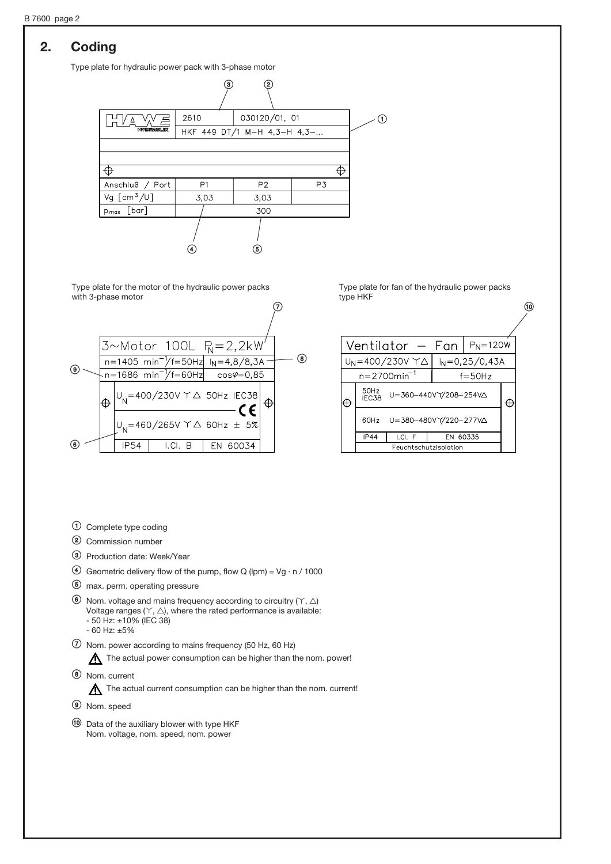## 2. Coding

Type plate for hydraulic power pack with 3-phase motor



Type plate for the motor of the hydraulic power packs with 3-phase motor



Type plate for fan of the hydraulic power packs type HKF



- ; Complete type coding
- 2 Commission number
- <sup>3</sup> Production date: Week/Year
- $\overline{4}$  Geometric delivery flow of the pump, flow Q (lpm) = Vg  $\cdot$  n / 1000
- ? max. perm. operating pressure
- $\circledast$  Nom. voltage and mains frequency according to circuitry  $(\curlyvee,\triangle)$ Voltage ranges  $(\curlyvee, \triangle)$ , where the rated performance is available: - 50 Hz: ±10% (IEC 38) - 60 Hz: ±5%
- $\circled{7}$  Nom. power according to mains frequency (50 Hz, 60 Hz) The actual power consumption can be higher than the nom. power!

B Nom. current

The actual current consumption can be higher than the nom. current!

- C Nom. speed
- 10 Data of the auxiliary blower with type HKF Nom. voltage, nom. speed, nom. power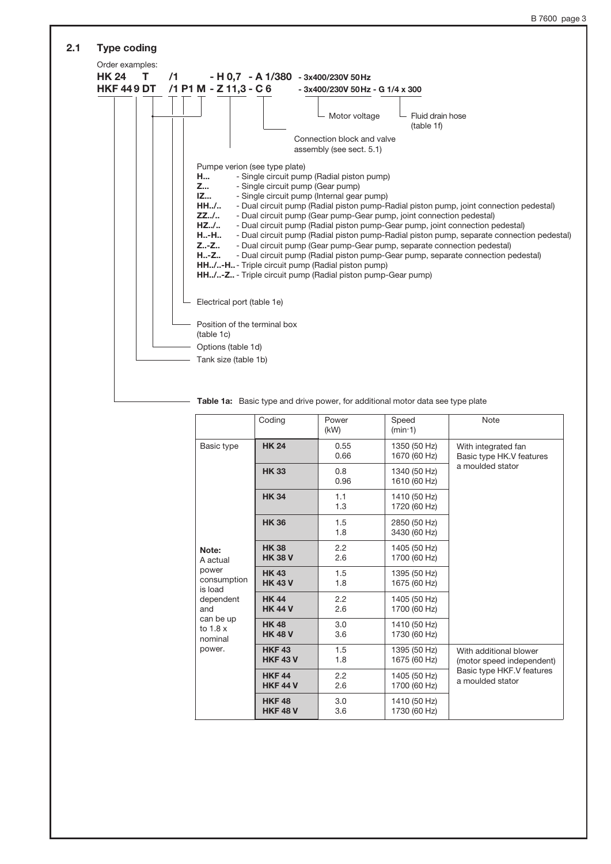

Table 1a: Basic type and drive power, for additional motor data see type plate

|                                                                                                    | Coding                          | Power<br>(kW) | Speed<br>$(min-1)$           | <b>Note</b>                                         |
|----------------------------------------------------------------------------------------------------|---------------------------------|---------------|------------------------------|-----------------------------------------------------|
| Basic type                                                                                         | <b>HK 24</b>                    | 0.55<br>0.66  | 1350 (50 Hz)<br>1670 (60 Hz) | With integrated fan<br>Basic type HK.V features     |
|                                                                                                    | <b>HK33</b>                     | 0.8<br>0.96   | 1340 (50 Hz)<br>1610 (60 Hz) | a moulded stator                                    |
|                                                                                                    | <b>HK 34</b>                    | 1.1<br>1.3    | 1410 (50 Hz)<br>1720 (60 Hz) |                                                     |
|                                                                                                    | <b>HK36</b>                     | 1.5<br>1.8    | 2850 (50 Hz)<br>3430 (60 Hz) |                                                     |
| Note:<br>A actual                                                                                  | <b>HK38</b><br><b>HK 38 V</b>   | 2.2<br>2.6    | 1405 (50 Hz)<br>1700 (60 Hz) |                                                     |
| power<br>consumption<br>is load<br>dependent<br>and<br>can be up<br>to $1.8x$<br>nominal<br>power. | <b>HK43</b><br><b>HK 43 V</b>   | 1.5<br>1.8    | 1395 (50 Hz)<br>1675 (60 Hz) |                                                     |
|                                                                                                    | <b>HK 44</b><br><b>HK 44 V</b>  | 2.2<br>2.6    | 1405 (50 Hz)<br>1700 (60 Hz) |                                                     |
|                                                                                                    | <b>HK48</b><br><b>HK 48 V</b>   | 3.0<br>3.6    | 1410 (50 Hz)<br>1730 (60 Hz) |                                                     |
|                                                                                                    | <b>HKF43</b><br><b>HKF43V</b>   | 1.5<br>1.8    | 1395 (50 Hz)<br>1675 (60 Hz) | With additional blower<br>(motor speed independent) |
|                                                                                                    | <b>HKF44</b><br><b>HKF 44 V</b> | 2.2<br>2.6    | 1405 (50 Hz)<br>1700 (60 Hz) | Basic type HKF.V features<br>a moulded stator       |
|                                                                                                    | <b>HKF48</b><br><b>HKF48V</b>   | 3.0<br>3.6    | 1410 (50 Hz)<br>1730 (60 Hz) |                                                     |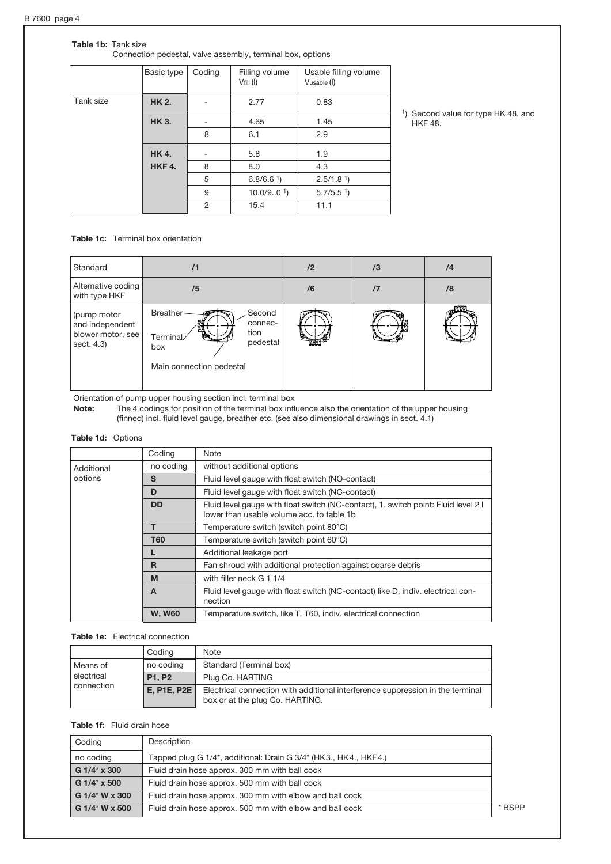| Table 1b: Tank size |              |                                                                                                                                                          |                                  |                                      |
|---------------------|--------------|----------------------------------------------------------------------------------------------------------------------------------------------------------|----------------------------------|--------------------------------------|
|                     | Basic type   | Coding                                                                                                                                                   | Filling volume<br>$V$ fill $(I)$ | Usable filling volume<br>Vusable (I) |
| Tank size           | <b>HK 2.</b> | Connection pedestal, valve assembly, terminal box, options<br>2.77<br>4.65<br>8<br>6.1<br>5.8<br>8<br>8.0<br>5<br>6.8/6.6 <sup>1</sup><br>10.0/9.01<br>9 | 0.83                             |                                      |
|                     | <b>HK 3.</b> |                                                                                                                                                          |                                  | 1.45                                 |
|                     |              |                                                                                                                                                          |                                  | 2.9                                  |
|                     | <b>HK 4.</b> |                                                                                                                                                          |                                  | 1.9                                  |
|                     | <b>HKF4.</b> |                                                                                                                                                          |                                  | 4.3                                  |
|                     |              |                                                                                                                                                          |                                  | 2.5/1.8 <sup>1</sup>                 |
|                     |              |                                                                                                                                                          |                                  | 5.7/5.5 <sup>1</sup>                 |
|                     |              | 2                                                                                                                                                        | 15.4                             | 11.1                                 |

1) Second value for type HK 48. and HKF 48.

#### Table 1c: Terminal box orientation

| Standard                                                          | /1                                                                                                                   | /2 | /3         | /4 |
|-------------------------------------------------------------------|----------------------------------------------------------------------------------------------------------------------|----|------------|----|
| Alternative coding<br>with type HKF                               | /5                                                                                                                   | /6 | $\sqrt{7}$ | /8 |
| (pump motor<br>and independent<br>blower motor, see<br>sect. 4.3) | Breather-<br>Second<br>connec-<br>LА<br>tion<br>Terminal <sub>/</sub><br>pedestal<br>box<br>Main connection pedestal |    |            |    |

Orientation of pump upper housing section incl. terminal box

Note: The 4 codings for position of the terminal box influence also the orientation of the upper housing (finned) incl. fluid level gauge, breather etc. (see also dimensional drawings in sect. 4.1)

#### Table 1d: Options

|            | Coding        | <b>Note</b>                                                                                                                     |  |  |  |
|------------|---------------|---------------------------------------------------------------------------------------------------------------------------------|--|--|--|
| Additional | no coding     | without additional options                                                                                                      |  |  |  |
| options    | S             | Fluid level gauge with float switch (NO-contact)                                                                                |  |  |  |
|            | D             | Fluid level gauge with float switch (NC-contact)                                                                                |  |  |  |
|            | DD            | Fluid level gauge with float switch (NC-contact), 1, switch point: Fluid level 2 l<br>lower than usable volume acc. to table 1b |  |  |  |
|            | т             | Temperature switch (switch point 80°C)                                                                                          |  |  |  |
|            | <b>T60</b>    | Temperature switch (switch point 60°C)                                                                                          |  |  |  |
|            |               | Additional leakage port                                                                                                         |  |  |  |
|            | R             | Fan shroud with additional protection against coarse debris                                                                     |  |  |  |
|            | M             | with filler neck G 1 1/4                                                                                                        |  |  |  |
|            | A             | Fluid level gauge with float switch (NC-contact) like D, indiv. electrical con-<br>nection                                      |  |  |  |
|            | <b>W. W60</b> | Temperature switch, like T, T60, indiv. electrical connection                                                                   |  |  |  |

#### Table 1e: Electrical connection

|                                      | Coding                               | Note                                                                                                              |
|--------------------------------------|--------------------------------------|-------------------------------------------------------------------------------------------------------------------|
| Means of<br>electrical<br>connection | no coding                            | Standard (Terminal box)                                                                                           |
|                                      | <b>P1. P2</b>                        | Plug Co. HARTING                                                                                                  |
|                                      | E, P <sub>1E</sub> , P <sub>2E</sub> | Electrical connection with additional interference suppression in the terminal<br>box or at the plug Co. HARTING. |

#### Table 1f: Fluid drain hose

| Coding                       | Description                                                      |        |
|------------------------------|------------------------------------------------------------------|--------|
| no coding                    | Tapped plug G 1/4*, additional: Drain G 3/4* (HK3., HK4., HKF4.) |        |
| $G1/4$ x 300                 | Fluid drain hose approx. 300 mm with ball cock                   |        |
| G 1/4* x 500                 | Fluid drain hose approx. 500 mm with ball cock                   |        |
| $G 1/4$ <sup>*</sup> W x 300 | Fluid drain hose approx. 300 mm with elbow and ball cock         |        |
| $G1/4^*$ W x 500             | Fluid drain hose approx. 500 mm with elbow and ball cock         | * BSPP |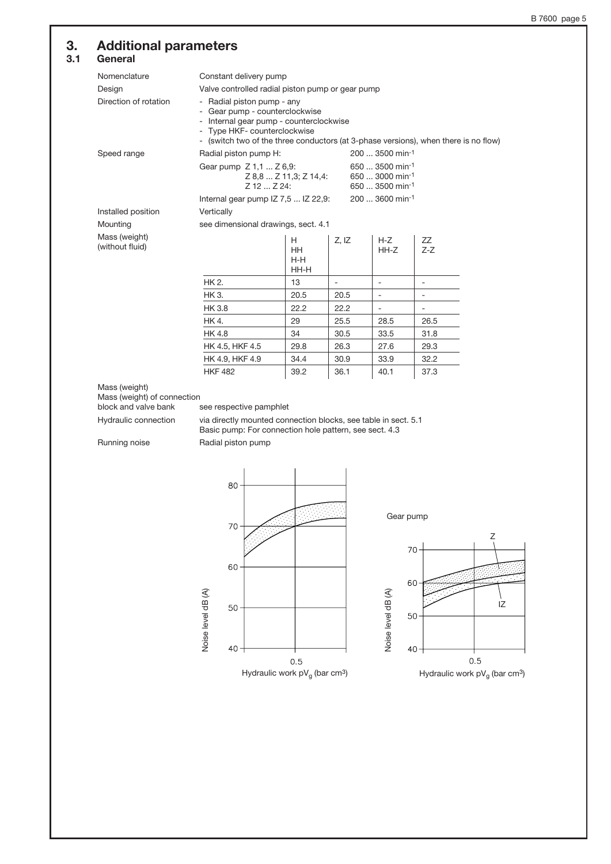# 3. Additional parameters<br>3.1 General

### **General**

| Nomenclature                     | Constant delivery pump                                                                                                                                                                                                         |                          |                |                          |                          |  |  |
|----------------------------------|--------------------------------------------------------------------------------------------------------------------------------------------------------------------------------------------------------------------------------|--------------------------|----------------|--------------------------|--------------------------|--|--|
| Design                           | Valve controlled radial piston pump or gear pump                                                                                                                                                                               |                          |                |                          |                          |  |  |
| Direction of rotation            | - Radial piston pump - any<br>- Gear pump - counterclockwise<br>- Internal gear pump - counterclockwise<br>- Type HKF- counterclockwise<br>- (switch two of the three conductors (at 3-phase versions), when there is no flow) |                          |                |                          |                          |  |  |
| Speed range                      | Radial piston pump H:                                                                                                                                                                                                          |                          |                | 200  3500 min-1          |                          |  |  |
|                                  | Gear pump Z 1,1  Z 6,9:<br>650  3500 min <sup>-1</sup><br>Z 8,8  Z 11,3; Z 14,4:<br>650  3000 min-1<br>Z 12  Z 24:<br>650  3500 min <sup>-1</sup>                                                                              |                          |                |                          |                          |  |  |
|                                  | Internal gear pump IZ 7,5  IZ 22,9: 200  3600 min <sup>-1</sup>                                                                                                                                                                |                          |                |                          |                          |  |  |
| Installed position               | Vertically                                                                                                                                                                                                                     |                          |                |                          |                          |  |  |
| Mounting                         | see dimensional drawings, sect. 4.1                                                                                                                                                                                            |                          |                |                          |                          |  |  |
| Mass (weight)<br>(without fluid) |                                                                                                                                                                                                                                | H<br>HΗ<br>$H-H$<br>HH-H | Z, IZ          | H-Z<br>$HH-Z$            | ΖZ<br>$Z-Z$              |  |  |
|                                  | HK 2.                                                                                                                                                                                                                          | 13                       | $\overline{a}$ | $\overline{\phantom{a}}$ | $\overline{\phantom{m}}$ |  |  |
|                                  | <b>HK3.</b>                                                                                                                                                                                                                    | 20.5                     | 20.5           | ÷                        |                          |  |  |
|                                  | HK 3.8                                                                                                                                                                                                                         | 22.2                     | 22.2           | $\overline{\phantom{a}}$ | $\overline{\phantom{a}}$ |  |  |
|                                  | HK 4.                                                                                                                                                                                                                          | 29                       | 25.5           | 28.5                     | 26.5                     |  |  |
|                                  | HK 4.8                                                                                                                                                                                                                         | 34                       | 30.5           | 33.5                     | 31.8                     |  |  |
|                                  | HK 4.5, HKF 4.5                                                                                                                                                                                                                | 29.8                     | 26.3           | 27.6                     | 29.3                     |  |  |
|                                  | HK 4.9, HKF 4.9                                                                                                                                                                                                                | 34.4                     | 30.9           | 33.9                     | 32.2                     |  |  |
|                                  | <b>HKF 482</b>                                                                                                                                                                                                                 | 39.2                     | 36.1           | 40.1                     | 37.3                     |  |  |

Mass (weight)

Mass (weight) of connection<br>block and valve bank

see respective pamphlet

Hydraulic connection via directly mounted connection blocks, see table in sect. 5.1 Basic pump: For connection hole pattern, see sect. 4.3

Running noise **Radial piston pump** 



Gear pump

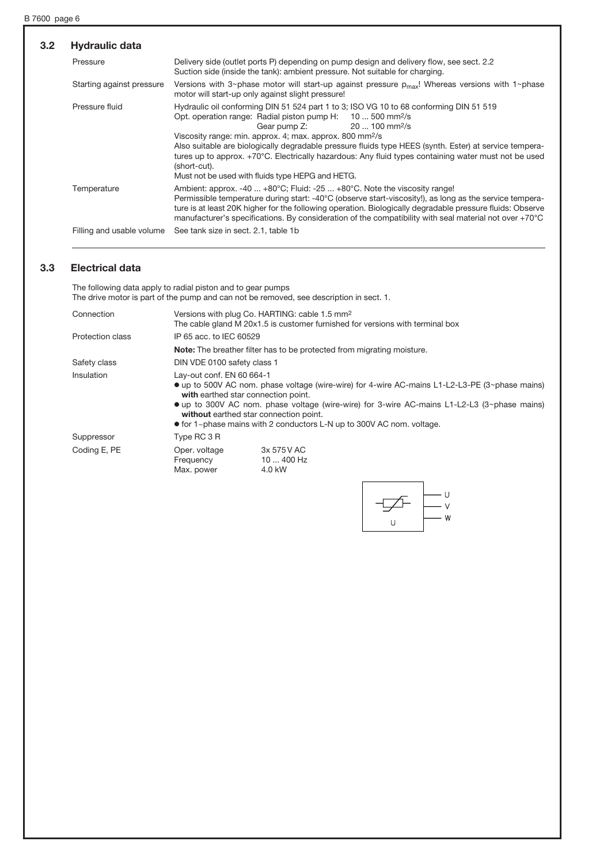| 3.2 | <b>Hydraulic data</b>     |                                                                                                                                                                                                                                                                                                                                                                                                                                                                                                                                                                              |  |  |  |  |
|-----|---------------------------|------------------------------------------------------------------------------------------------------------------------------------------------------------------------------------------------------------------------------------------------------------------------------------------------------------------------------------------------------------------------------------------------------------------------------------------------------------------------------------------------------------------------------------------------------------------------------|--|--|--|--|
|     | Pressure                  | Delivery side (outlet ports P) depending on pump design and delivery flow, see sect. 2.2<br>Suction side (inside the tank): ambient pressure. Not suitable for charging.                                                                                                                                                                                                                                                                                                                                                                                                     |  |  |  |  |
|     | Starting against pressure | Versions with 3~phase motor will start-up against pressure $p_{max}$ ! Whereas versions with 1~phase<br>motor will start-up only against slight pressure!                                                                                                                                                                                                                                                                                                                                                                                                                    |  |  |  |  |
|     | Pressure fluid            | Hydraulic oil conforming DIN 51 524 part 1 to 3; ISO VG 10 to 68 conforming DIN 51 519<br>Opt. operation range: Radial piston pump H: 10  500 mm <sup>2</sup> /s<br>$20100$ mm <sup>2</sup> /s<br>Gear pump Z:<br>Viscosity range: min. approx. 4; max. approx. 800 mm <sup>2</sup> /s<br>Also suitable are biologically degradable pressure fluids type HEES (synth. Ester) at service tempera-<br>tures up to approx. +70°C. Electrically hazardous: Any fluid types containing water must not be used<br>(short-cut).<br>Must not be used with fluids type HEPG and HETG. |  |  |  |  |
|     | Temperature               | Ambient: approx. -40 $+80^{\circ}$ C; Fluid: -25 $+80^{\circ}$ C. Note the viscosity range!<br>Permissible temperature during start: -40°C (observe start-viscosity!), as long as the service tempera-<br>ture is at least 20K higher for the following operation. Biologically degradable pressure fluids: Observe<br>manufacturer's specifications. By consideration of the compatibility with seal material not over $+70^{\circ}$ C                                                                                                                                      |  |  |  |  |
|     | Filling and usable volume | See tank size in sect. 2.1, table 1b                                                                                                                                                                                                                                                                                                                                                                                                                                                                                                                                         |  |  |  |  |

#### 3.3 Electrical data

The following data apply to radial piston and to gear pumps The drive motor is part of the pump and can not be removed, see description in sect. 1.

| Connection              | Versions with plug Co. HARTING: cable 1.5 mm <sup>2</sup><br>The cable gland M 20x1.5 is customer furnished for versions with terminal box |                                                                                                                                                                                                                                                                                                                                                                                                              |  |  |  |  |
|-------------------------|--------------------------------------------------------------------------------------------------------------------------------------------|--------------------------------------------------------------------------------------------------------------------------------------------------------------------------------------------------------------------------------------------------------------------------------------------------------------------------------------------------------------------------------------------------------------|--|--|--|--|
| <b>Protection class</b> | IP 65 acc. to IEC 60529                                                                                                                    |                                                                                                                                                                                                                                                                                                                                                                                                              |  |  |  |  |
|                         |                                                                                                                                            | <b>Note:</b> The breather filter has to be protected from migrating moisture.                                                                                                                                                                                                                                                                                                                                |  |  |  |  |
| Safety class            | DIN VDE 0100 safety class 1                                                                                                                |                                                                                                                                                                                                                                                                                                                                                                                                              |  |  |  |  |
| Insulation              |                                                                                                                                            | Lay-out conf. EN 60 664-1<br>$\bullet$ up to 500V AC nom. phase voltage (wire-wire) for 4-wire AC-mains L1-L2-L3-PE (3~phase mains)<br>with earthed star connection point.<br>$\bullet$ up to 300V AC nom. phase voltage (wire-wire) for 3-wire AC-mains L1-L2-L3 (3~phase mains)<br>without earthed star connection point.<br>$\bullet$ for 1~phase mains with 2 conductors L-N up to 300V AC nom. voltage. |  |  |  |  |
| Suppressor              | Type RC 3 R                                                                                                                                |                                                                                                                                                                                                                                                                                                                                                                                                              |  |  |  |  |
| Coding E, PE            | Oper. voltage<br>Frequency<br>Max. power                                                                                                   | 3x 575 V AC<br>10  400 Hz<br>4.0 kW                                                                                                                                                                                                                                                                                                                                                                          |  |  |  |  |
|                         |                                                                                                                                            |                                                                                                                                                                                                                                                                                                                                                                                                              |  |  |  |  |

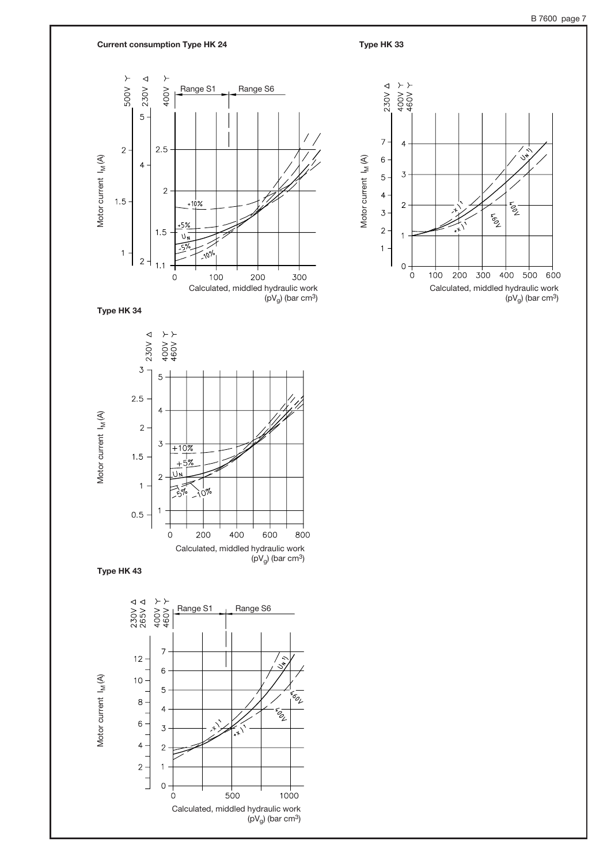#### Current consumption Type HK 24



 $400V \n\Upsilon$ <br>460V  $\Upsilon$  $230V \Delta$  $\overline{7}$  $\overline{4}$ Motor current I<sub>M</sub>(A)  $6 -$ Motor current I<sub>M</sub>(A)  $\mathfrak{Z}$  $5 \overline{4}$  $\sqrt{2}$ ro-<br>V  $\overline{3}$ APOINT  $2 \overline{1}$  $1 \mathsf{O}\xspace$  $\frac{+}{0}$  $200$  $300$  $400$  $500$  $600$  $100$ Calculated, middled hydraulic work  $(pV_q)$  (bar cm<sup>3</sup>)

Type HK 34





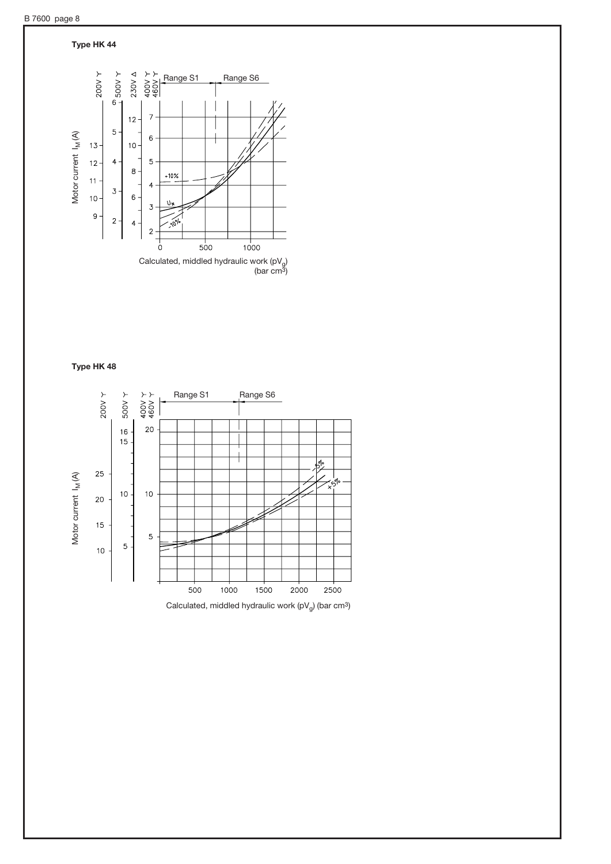

Type HK 48



Calculated, middled hydraulic work ( $pV_q$ ) (bar cm<sup>3</sup>)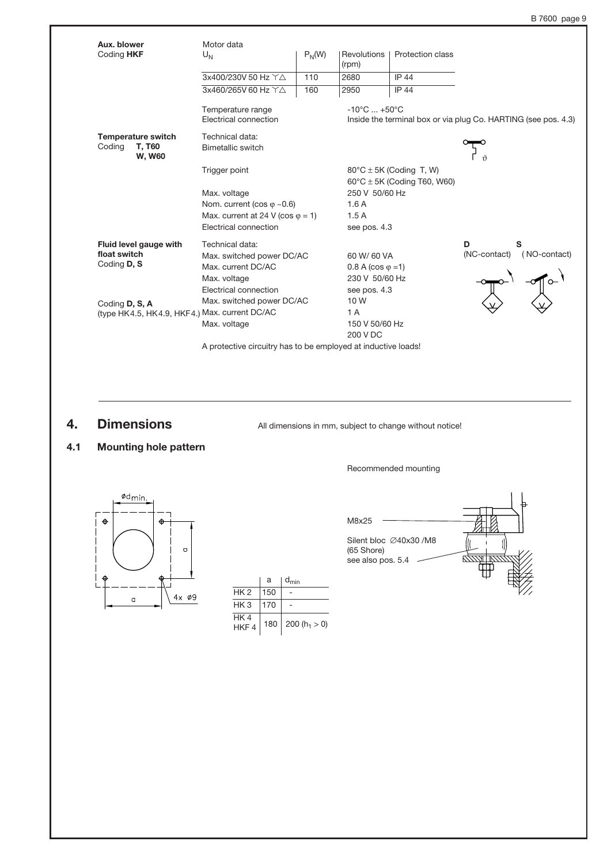|                                               | $U_N$                                    | $P_N(W)$               | <b>Revolutions</b><br>(rpm)     | <b>Protection class</b>                                                            |                                                                |
|-----------------------------------------------|------------------------------------------|------------------------|---------------------------------|------------------------------------------------------------------------------------|----------------------------------------------------------------|
|                                               | 3x400/230V 50 Hz YA                      | 110                    | 2680                            | <b>IP 44</b>                                                                       |                                                                |
|                                               | 3x460/265V 60 Hz $\sqrt{4}$              | 160                    | 2950                            | IP44                                                                               |                                                                |
|                                               | Temperature range                        |                        | $-10^{\circ}$ C $+50^{\circ}$ C |                                                                                    |                                                                |
|                                               | Electrical connection                    |                        |                                 |                                                                                    | Inside the terminal box or via plug Co. HARTING (see pos. 4.3) |
| <b>Temperature switch</b>                     | Technical data:                          |                        |                                 |                                                                                    |                                                                |
| Coding<br><b>T, T60</b><br><b>W, W60</b>      | <b>Bimetallic switch</b>                 |                        |                                 |                                                                                    |                                                                |
|                                               | Trigger point                            |                        |                                 | $80^{\circ}$ C $\pm$ 5K (Coding T, W)<br>$60^{\circ}$ C $\pm$ 5K (Coding T60, W60) |                                                                |
|                                               | Max. voltage                             |                        | 250 V 50/60 Hz                  |                                                                                    |                                                                |
|                                               | Nom. current (cos $\varphi \sim 0.6$ )   |                        | 1.6A                            |                                                                                    |                                                                |
|                                               | Max. current at 24 V (cos $\varphi$ = 1) |                        | 1.5A                            |                                                                                    |                                                                |
|                                               | Electrical connection                    |                        | see pos. 4.3                    |                                                                                    |                                                                |
| Fluid level gauge with                        | Technical data:                          |                        |                                 |                                                                                    | S<br>D                                                         |
| float switch                                  | Max. switched power DC/AC                |                        | 60 W/60 VA                      |                                                                                    | (NC-contact)<br>(NO-contact)                                   |
| Coding D, S                                   | Max. current DC/AC                       | $0.8 A (cos \phi = 1)$ |                                 |                                                                                    |                                                                |
|                                               | Max. voltage                             |                        | 230 V 50/60 Hz                  |                                                                                    |                                                                |
|                                               | Electrical connection                    |                        | see pos. 4.3                    |                                                                                    |                                                                |
| Coding D, S, A                                | Max. switched power DC/AC                |                        | 10 W                            |                                                                                    |                                                                |
| (type HK4.5, HK4.9, HKF4.) Max. current DC/AC |                                          |                        | 1A                              |                                                                                    |                                                                |
|                                               | Max. voltage                             |                        | 150 V 50/60 Hz                  |                                                                                    |                                                                |
|                                               |                                          |                        |                                 |                                                                                    |                                                                |

4. **Dimensions** All dimensions in mm, subject to change without notice!

### 4.1 Mounting hole pattern



|                 | a   | $d_{min}$                      |
|-----------------|-----|--------------------------------|
| <b>HK2</b>      | 150 |                                |
| HK <sub>3</sub> | 170 |                                |
| HK4<br>HKF4     |     | 180   200 (h <sub>1</sub> > 0) |

#### Recommended mounting

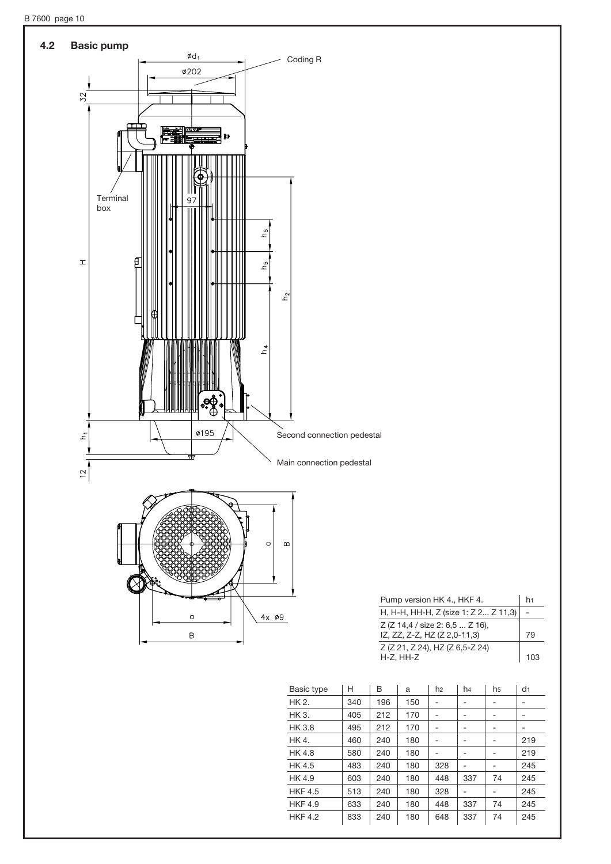

| Basic type     | н   | в   | a   | h <sub>2</sub> | h4  | h <sub>5</sub> | d <sub>1</sub> |
|----------------|-----|-----|-----|----------------|-----|----------------|----------------|
| HK 2.          | 340 | 196 | 150 |                |     |                |                |
| HK 3.          | 405 | 212 | 170 |                |     | ۰              |                |
| <b>HK 3.8</b>  | 495 | 212 | 170 |                |     |                |                |
| HK 4.          | 460 | 240 | 180 |                |     |                | 219            |
| HK 4.8         | 580 | 240 | 180 |                |     |                | 219            |
| HK 4.5         | 483 | 240 | 180 | 328            |     |                | 245            |
| HK 4.9         | 603 | 240 | 180 | 448            | 337 | 74             | 245            |
| <b>HKF 4.5</b> | 513 | 240 | 180 | 328            |     |                | 245            |
| <b>HKF 4.9</b> | 633 | 240 | 180 | 448            | 337 | 74             | 245            |
| <b>HKF 4.2</b> | 833 | 240 | 180 | 648            | 337 | 74             | 245            |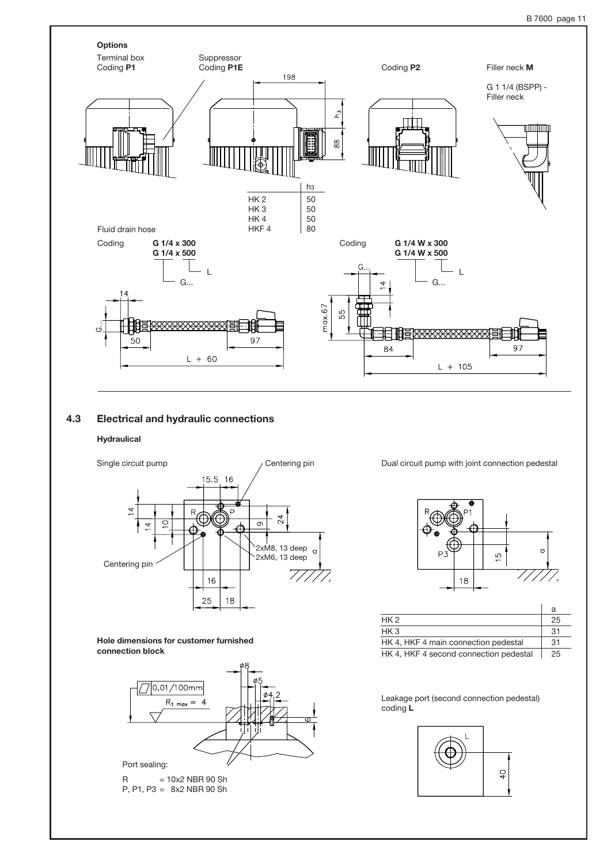

#### 4.3 Electrical and hydraulic connections

#### Hydraulical



#### Hole dimensions for customer furnished connection block



R = 10x2 NBR 90 Sh P, P1, P3 = 8x2 NBR 90 Sh



|                                        | а  |
|----------------------------------------|----|
| HK 2                                   | 25 |
| HK <sub>3</sub>                        | 31 |
| HK 4, HKF 4 main connection pedestal   | 31 |
| HK 4, HKF 4 second connection pedestal | 25 |

Leakage port (second connection pedestal) coding L

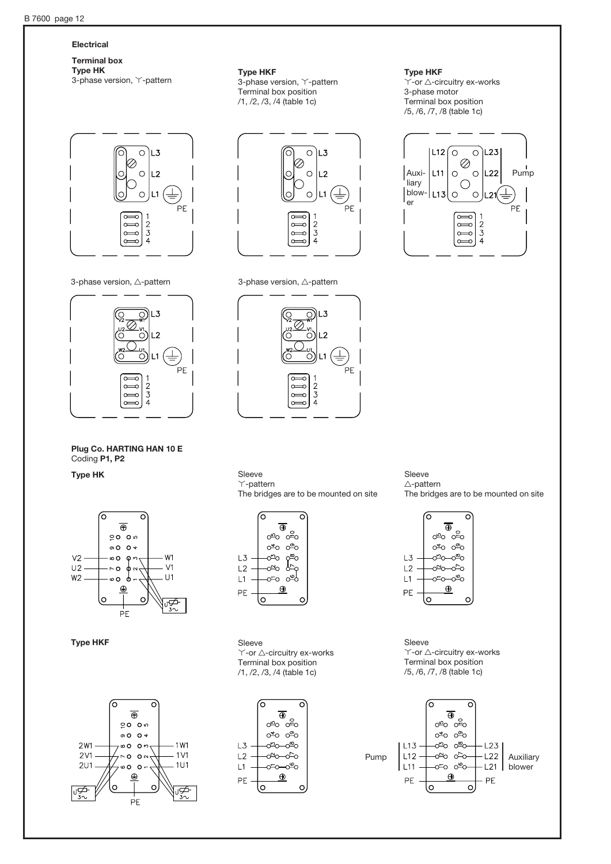#### Electrical

#### Terminal box

Type HK 3-phase version, Y-pattern





#### Plug Co. HARTING HAN 10 E Coding P1, P2

#### Type HK Sleeve



#### Type HKF



#### Type HKF

3-phase version, Y-pattern Terminal box position /1, /2, /3, /4 (table 1c)



3-phase version,  $\triangle$ -pattern 3-phase version,  $\triangle$ -pattern



Y-pattern The bridges are to be mounted on site



Sleeve  $Y$ -or  $\triangle$ -circuitry ex-works Terminal box position /1, /2, /3, /4 (table 1c)



Sleeve  $\triangle$ -pattern The bridges are to be mounted on site



#### Sleeve  $\curlyvee$ -or  $\triangle$ -circuitry ex-works Terminal box position /5, /6, /7, /8 (table 1c)





3-phase motor Terminal box position /5, /6, /7, /8 (table 1c)

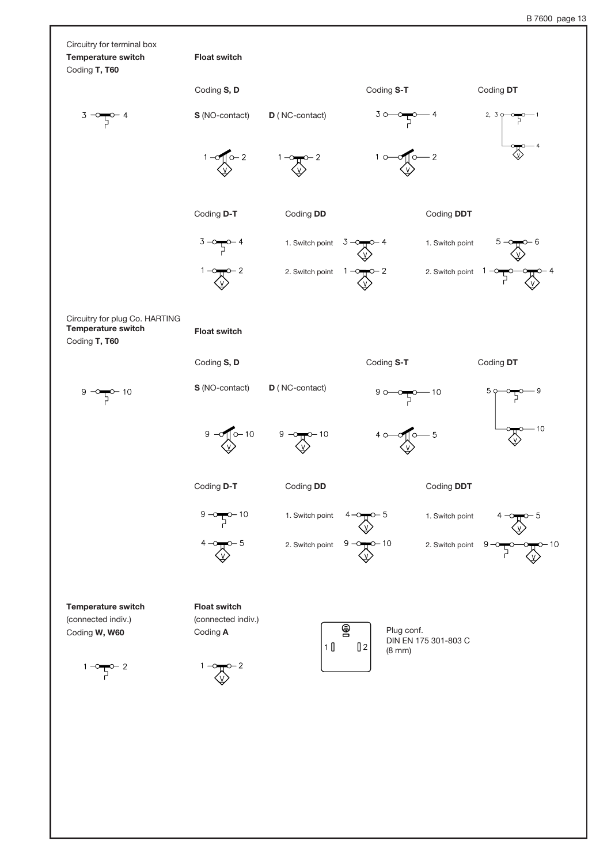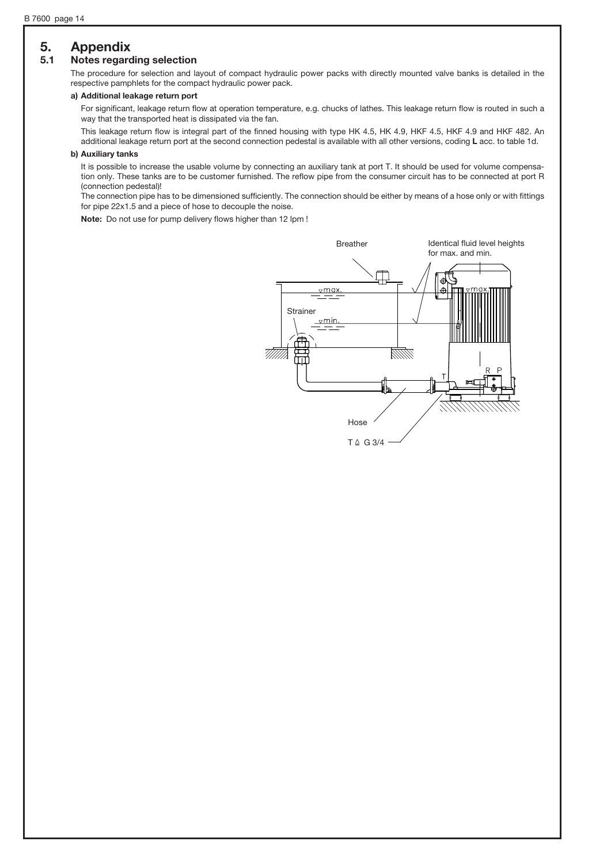## 5. Appendix

### 5.1 Notes regarding selection

The procedure for selection and layout of compact hydraulic power packs with directly mounted valve banks is detailed in the respective pamphlets for the compact hydraulic power pack.

#### a) Additional leakage return port

For significant, leakage return flow at operation temperature, e.g. chucks of lathes. This leakage return flow is routed in such a way that the transported heat is dissipated via the fan.

This leakage return flow is integral part of the finned housing with type HK 4.5, HK 4.9, HKF 4.5, HKF 4.9 and HKF 482. An additional leakage return port at the second connection pedestal is available with all other versions, coding L acc. to table 1d.

#### b) Auxiliary tanks

It is possible to increase the usable volume by connecting an auxiliary tank at port T. It should be used for volume compensation only. These tanks are to be customer furnished. The reflow pipe from the consumer circuit has to be connected at port R (connection pedestal)!

The connection pipe has to be dimensioned sufficiently. The connection should be either by means of a hose only or with fittings for pipe 22x1.5 and a piece of hose to decouple the noise.

Note: Do not use for pump delivery flows higher than 12 lpm !

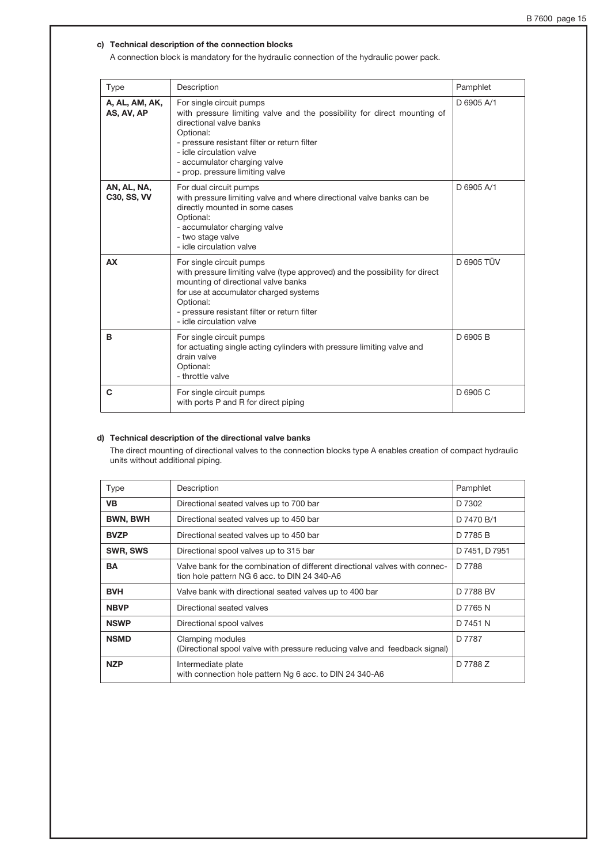#### c) Technical description of the connection blocks

A connection block is mandatory for the hydraulic connection of the hydraulic power pack.

| Type                         | Description                                                                                                                                                                                                                                                                                | Pamphlet   |
|------------------------------|--------------------------------------------------------------------------------------------------------------------------------------------------------------------------------------------------------------------------------------------------------------------------------------------|------------|
| A, AL, AM, AK,<br>AS, AV, AP | For single circuit pumps<br>with pressure limiting valve and the possibility for direct mounting of<br>directional valve banks<br>Optional:<br>- pressure resistant filter or return filter<br>- idle circulation valve<br>- accumulator charging valve<br>- prop. pressure limiting valve | D 6905 A/1 |
| AN, AL, NA,<br>C30, SS, VV   | For dual circuit pumps<br>with pressure limiting valve and where directional valve banks can be<br>directly mounted in some cases<br>Optional:<br>- accumulator charging valve<br>- two stage valve<br>- idle circulation valve                                                            | D 6905 A/1 |
| <b>AX</b>                    | For single circuit pumps<br>with pressure limiting valve (type approved) and the possibility for direct<br>mounting of directional valve banks<br>for use at accumulator charged systems<br>Optional:<br>- pressure resistant filter or return filter<br>- idle circulation valve          | D 6905 TÜV |
| B                            | For single circuit pumps<br>for actuating single acting cylinders with pressure limiting valve and<br>drain valve<br>Optional:<br>- throttle valve                                                                                                                                         | D 6905 B   |
| C                            | For single circuit pumps<br>with ports P and R for direct piping                                                                                                                                                                                                                           | D 6905 C   |

#### d) Technical description of the directional valve banks

The direct mounting of directional valves to the connection blocks type A enables creation of compact hydraulic units without additional piping.

| <b>Type</b>     | Description                                                                                                                 | Pamphlet       |
|-----------------|-----------------------------------------------------------------------------------------------------------------------------|----------------|
| VB              | Directional seated valves up to 700 bar                                                                                     | D 7302         |
| <b>BWN, BWH</b> | Directional seated valves up to 450 bar                                                                                     | D 7470 B/1     |
| <b>BVZP</b>     | Directional seated valves up to 450 bar                                                                                     | D 7785 B       |
| SWR, SWS        | Directional spool valves up to 315 bar                                                                                      | D 7451, D 7951 |
| <b>BA</b>       | Valve bank for the combination of different directional valves with connec-<br>tion hole pattern NG 6 acc. to DIN 24 340-A6 | D 7788         |
| <b>BVH</b>      | Valve bank with directional seated valves up to 400 bar                                                                     | D 7788 BV      |
| <b>NBVP</b>     | Directional seated valves                                                                                                   | D 7765 N       |
| <b>NSWP</b>     | Directional spool valves                                                                                                    | D 7451 N       |
| <b>NSMD</b>     | Clamping modules<br>(Directional spool valve with pressure reducing valve and feedback signal)                              | D 7787         |
| <b>NZP</b>      | Intermediate plate<br>with connection hole pattern Ng 6 acc. to DIN 24 340-A6                                               | D 7788 Z       |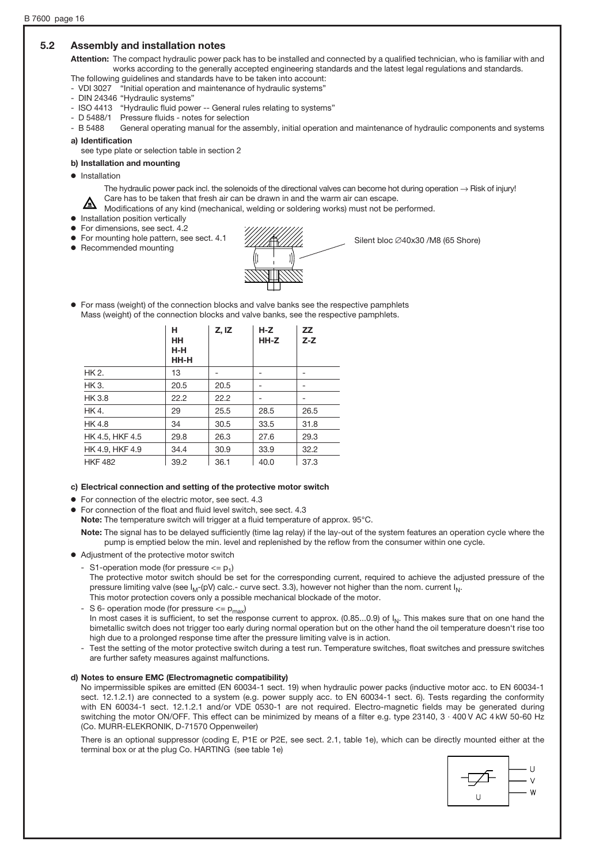#### 5.2 Assembly and installation notes

Attention: The compact hydraulic power pack has to be installed and connected by a qualified technician, who is familiar with and works according to the generally accepted engineering standards and the latest legal regulations and standards.

The following guidelines and standards have to be taken into account:

- VDI 3027 "Initial operation and maintenance of hydraulic systems"
- DIN 24346 "Hydraulic systems"
- ISO 4413 "Hydraulic fluid power -- General rules relating to systems"
- D 5488/1 Pressure fluids notes for selection
- B 5488 General operating manual for the assembly, initial operation and maintenance of hydraulic components and systems
- a) Identification
	- see type plate or selection table in section 2

#### b) Installation and mounting

- $\bullet$  Installation
	- The hydraulic power pack incl. the solenoids of the directional valves can become hot during operation  $\rightarrow$  Risk of injury! Care has to be taken that fresh air can be drawn in and the warm air can escape.
	- $\triangle$ Modifications of any kind (mechanical, welding or soldering works) must not be performed.
- Installation position vertically
- For dimensions, see sect. 4.2
- o For mounting hole pattern, see sect. 4.1
- o Recommended mounting



Silent bloc  $\varnothing$ 40x30 /M8 (65 Shore)

o For mass (weight) of the connection blocks and valve banks see the respective pamphlets Mass (weight) of the connection blocks and valve banks, see the respective pamphlets.

|                 | н<br>HH<br>H-H<br>HH-H | Z, IZ | $H-Z$<br>HH-Z | <b>ZZ</b><br>$Z-Z$ |
|-----------------|------------------------|-------|---------------|--------------------|
| HK 2.           | 13                     |       |               |                    |
| HK 3.           | 20.5                   | 20.5  |               |                    |
| <b>HK 3.8</b>   | 22.2                   | 22.2  |               |                    |
| HK 4.           | 29                     | 25.5  | 28.5          | 26.5               |
| <b>HK 4.8</b>   | 34                     | 30.5  | 33.5          | 31.8               |
| HK 4.5, HKF 4.5 | 29.8                   | 26.3  | 27.6          | 29.3               |
| HK 4.9, HKF 4.9 | 34.4                   | 30.9  | 33.9          | 32.2               |
| <b>HKF482</b>   | 39.2                   | 36.1  | 40.0          | 37.3               |

#### c) Electrical connection and setting of the protective motor switch

- o For connection of the electric motor, see sect. 4.3
- For connection of the float and fluid level switch, see sect. 4.3
	- Note: The temperature switch will trigger at a fluid temperature of approx. 95°C.

Note: The signal has to be delayed sufficiently (time lag relay) if the lay-out of the system features an operation cycle where the pump is emptied below the min. level and replenished by the reflow from the consumer within one cycle.

- o Adjustment of the protective motor switch
	- S1-operation mode (for pressure  $\leq p_1$ )

The protective motor switch should be set for the corresponding current, required to achieve the adjusted pressure of the pressure limiting valve (see  $I_M$ -(pV) calc.- curve sect. 3.3), however not higher than the nom. current  $I_M$ . This motor protection covers only a possible mechanical blockade of the motor.

- S 6- operation mode (for pressure  $\leq$   $p_{max}$ ) In most cases it is sufficient, to set the response current to approx.  $(0.85...0.9)$  of  $I_N$ . This makes sure that on one hand the bimetallic switch does not trigger too early during normal operation but on the other hand the oil temperature doesn't rise too high due to a prolonged response time after the pressure limiting valve is in action.
- Test the setting of the motor protective switch during a test run. Temperature switches, float switches and pressure switches are further safety measures against malfunctions.

#### d) Notes to ensure EMC (Electromagnetic compatibility)

No impermissible spikes are emitted (EN 60034-1 sect. 19) when hydraulic power packs (inductive motor acc. to EN 60034-1 sect. 12.1.2.1) are connected to a system (e.g. power supply acc. to EN 60034-1 sect. 6). Tests regarding the conformity with EN 60034-1 sect. 12.1.2.1 and/or VDE 0530-1 are not required. Electro-magnetic fields may be generated during switching the motor ON/OFF. This effect can be minimized by means of a filter e.g. type 23140, 3 · 400 V AC 4 kW 50-60 Hz (Co. MURR-ELEKRONIK, D-71570 Oppenweiler)

There is an optional suppressor (coding E, P1E or P2E, see sect. 2.1, table 1e), which can be directly mounted either at the terminal box or at the plug Co. HARTING (see table 1e)

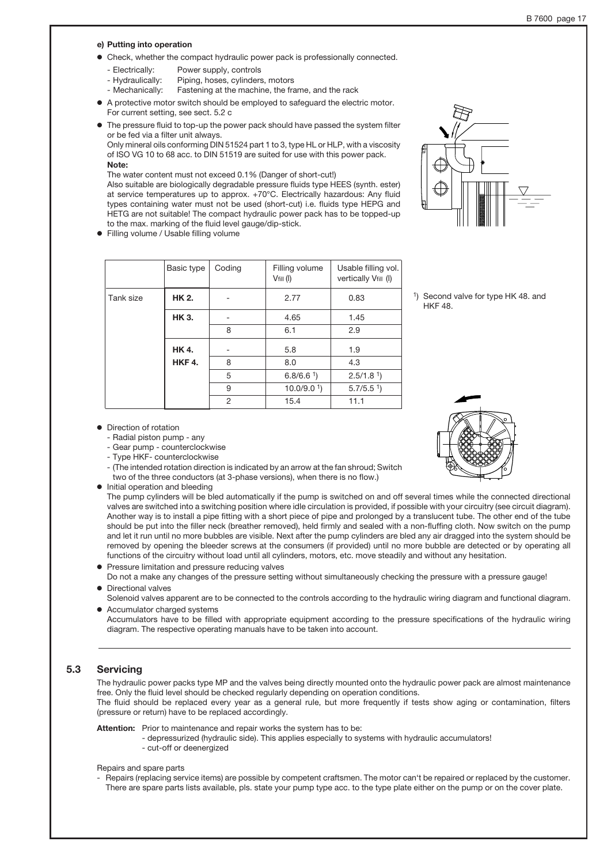#### e) Putting into operation

- $\bullet$  Check, whether the compact hydraulic power pack is professionally connected.
	- Electrically: Power supply, controls
	- Hydraulically: Piping, hoses, cylinders, motors
	- Mechanically: Fastening at the machine, the frame, and the rack
- o A protective motor switch should be employed to safeguard the electric motor. For current setting, see sect. 5.2 c
- o The pressure fluid to top-up the power pack should have passed the system filter or be fed via a filter unit always.

Only mineral oils conforming DIN 51524 part 1 to 3, type HL or HLP, with a viscosity of ISO VG 10 to 68 acc. to DIN 51519 are suited for use with this power pack. Note:

The water content must not exceed 0.1% (Danger of short-cut!)

Also suitable are biologically degradable pressure fluids type HEES (synth. ester) at service temperatures up to approx. +70°C. Electrically hazardous: Any fluid types containing water must not be used (short-cut) i.e. fluids type HEPG and HETG are not suitable! The compact hydraulic power pack has to be topped-up to the max. marking of the fluid level gauge/dip-stick.

o Filling volume / Usable filling volume

|           | Basic type    | Coding         | Filling volume<br>$V$ fill $(I)$ | Usable filling vol.<br>vertically Vfill (I) |
|-----------|---------------|----------------|----------------------------------|---------------------------------------------|
| Tank size | <b>HK 2.</b>  |                | 2.77                             | 0.83                                        |
|           | <b>HK 3.</b>  |                | 4.65                             | 1.45                                        |
|           |               | 8              | 6.1                              | 2.9                                         |
|           | <b>HK 4.</b>  |                | 5.8                              | 1.9                                         |
|           | <b>HKF 4.</b> | 8              | 8.0                              | 4.3                                         |
|           |               | 5              | 6.8/6.61                         | $2.5/1.8$ <sup>1</sup> )                    |
|           |               | 9              | 10.0/9.01                        | 5.7/5.5 <sup>1</sup>                        |
|           |               | $\overline{2}$ | 15.4                             | 11.1                                        |



1) Second valve for type HK 48. and HKF 48.

- Direction of rotation
	- Radial piston pump any
	- Gear pump counterclockwise
	- Type HKF- counterclockwise
	- (The intended rotation direction is indicated by an arrow at the fan shroud; Switch
	- two of the three conductors (at 3-phase versions), when there is no flow.)
- Initial operation and bleeding

The pump cylinders will be bled automatically if the pump is switched on and off several times while the connected directional valves are switched into a switching position where idle circulation is provided, if possible with your circuitry (see circuit diagram). Another way is to install a pipe fitting with a short piece of pipe and prolonged by a translucent tube. The other end of the tube should be put into the filler neck (breather removed), held firmly and sealed with a non-fluffing cloth. Now switch on the pump and let it run until no more bubbles are visible. Next after the pump cylinders are bled any air dragged into the system should be removed by opening the bleeder screws at the consumers (if provided) until no more bubble are detected or by operating all functions of the circuitry without load until all cylinders, motors, etc. move steadily and without any hesitation.

Pressure limitation and pressure reducing valves

Do not a make any changes of the pressure setting without simultaneously checking the pressure with a pressure gauge! Directional valves

Solenoid valves apparent are to be connected to the controls according to the hydraulic wiring diagram and functional diagram. o Accumulator charged systems

Accumulators have to be filled with appropriate equipment according to the pressure specifications of the hydraulic wiring diagram. The respective operating manuals have to be taken into account.

#### 5.3 Servicing

The hydraulic power packs type MP and the valves being directly mounted onto the hydraulic power pack are almost maintenance free. Only the fluid level should be checked regularly depending on operation conditions.

The fluid should be replaced every year as a general rule, but more frequently if tests show aging or contamination, filters (pressure or return) have to be replaced accordingly.

Attention: Prior to maintenance and repair works the system has to be:

- depressurized (hydraulic side). This applies especially to systems with hydraulic accumulators!
- cut-off or deenergized

Repairs and spare parts

- Repairs (replacing service items) are possible by competent craftsmen. The motor can't be repaired or replaced by the customer.
- There are spare parts lists available, pls. state your pump type acc. to the type plate either on the pump or on the cover plate.

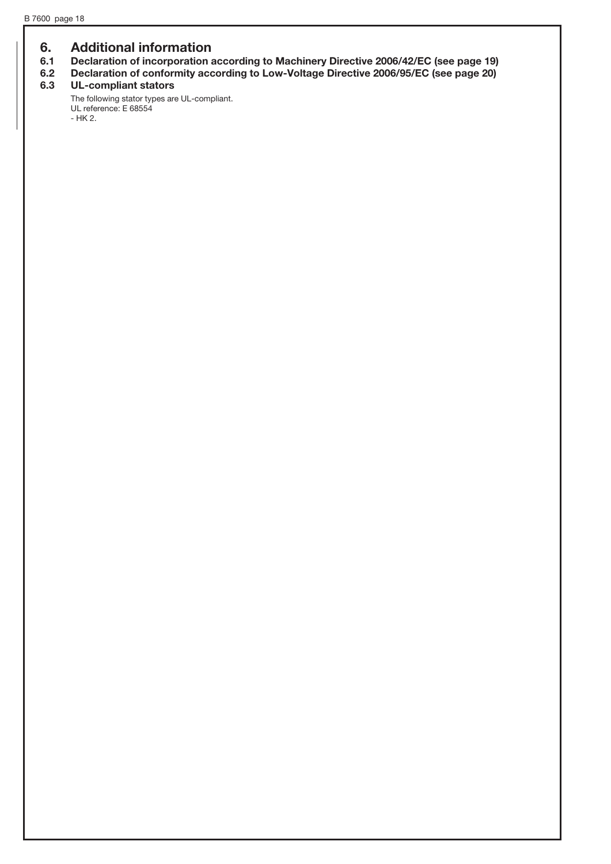# **6.** Additional information<br>6.1 Declaration of incorporation a

- 6.1 Declaration of incorporation according to Machinery Directive 2006/42/EC (see page 19)<br>6.2 Declaration of conformity according to Low-Voltage Directive 2006/95/EC (see page 20)
- 6.2 Declaration of conformity according to Low-Voltage Directive 2006/95/EC (see page 20)

### UL-compliant stators

The following stator types are UL-compliant. UL reference: E 68554 - HK 2.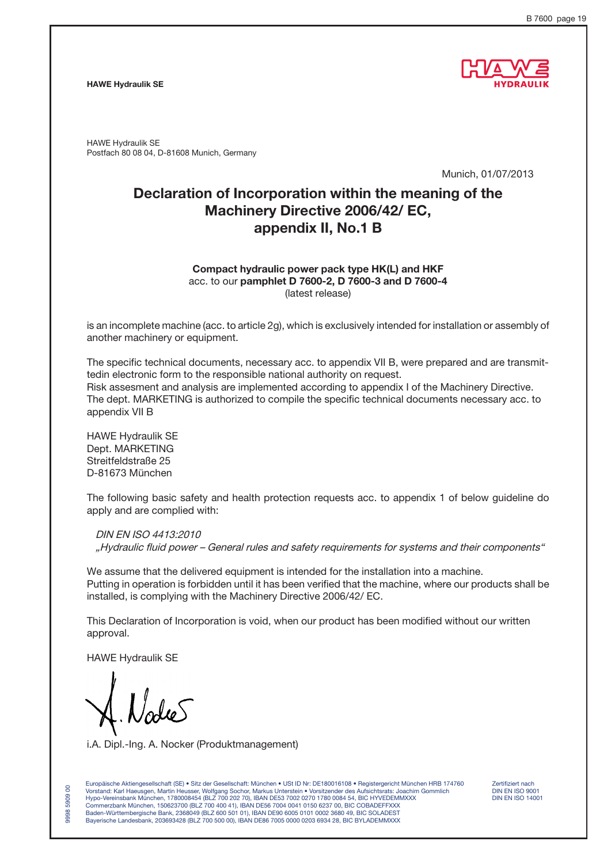#### HAWE Hydraulik SE



HAWE Hydraulik SE Postfach 80 08 04, D-81608 Munich, Germany

Munich, 01/07/2013

### Declaration of Incorporation within the meaning of the Machinery Directive 2006/42/ EC, appendix II, No.1 B

#### Compact hydraulic power pack type HK(L) and HKF acc. to our pamphlet D 7600-2, D 7600-3 and D 7600-4 (latest release)

is an incomplete machine (acc. to article 2g), which is exclusively intended for installation or assembly of another machinery or equipment.

The specific technical documents, necessary acc. to appendix VII B, were prepared and are transmittedin electronic form to the responsible national authority on request. Risk assesment and analysis are implemented according to appendix I of the Machinery Directive. The dept. MARKETING is authorized to compile the specific technical documents necessary acc. to appendix VII B

HAWE Hydraulik SE Dept. MARKETING Streitfeldstraße 25 D-81673 München

The following basic safety and health protection requests acc. to appendix 1 of below guideline do apply and are complied with:

DIN EN ISO 4413:2010 "Hydraulic fluid power – General rules and safety requirements for systems and their components"

We assume that the delivered equipment is intended for the installation into a machine. Putting in operation is forbidden until it has been verified that the machine, where our products shall be installed, is complying with the Machinery Directive 2006/42/ EC.

This Declaration of Incorporation is void, when our product has been modified without our written approval.

HAWE Hydraulik SE

9998 5909 00

8 5909 9998

i.A. Dipl.-Ing. A. Nocker (Produktmanagement)

Europäische Aktiengesellschaft (SE) • Sitz der Gesellschaft: München • USt ID Nr: DE180016108 • Registergericht München HRB 174760 Zertifiziert nach<br>Vorstand: Karl Haeusgen, Martin Heusser, Wolfgang Sochor, Markus Unterst Vorstand: Karl Haeusgen, Martin Heusser, Wolfgang Sochor, Markus Unterstein • Vorsitzender des Aufsichtsrats: Joachim Gommlich DIN EN ISO 9001 Hypo-Vereinsbank München, 1780008454 (BLZ 700 202 70), IBAN DE53 7002 0270 1780 0084 54, BIC HYVEDEMMXXX DIN EN ISO 14001 Commerzbank München, 150623700 (BLZ 700 400 41), IBAN DE56 7004 0041 0150 6237 00, BIC COBADEFFXXX Baden-Württembergische Bank, 2368049 (BLZ 600 501 01), IBAN DE90 6005 0101 0002 3680 49, BIC SOLADEST Bayerische Landesbank, 203693428 (BLZ 700 500 00), IBAN DE86 7005 0000 0203 6934 28, BIC BYLADEMMXXX